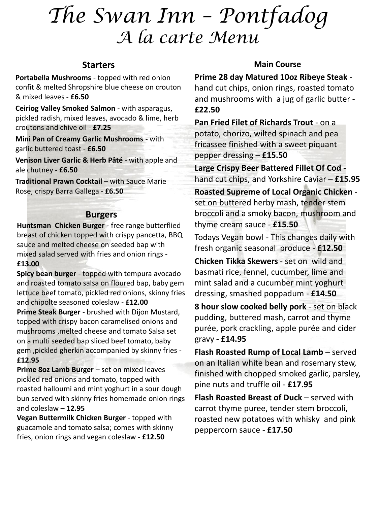# *The Swan Inn – Pontfadog A la carte Menu*

## **Starters**

**Portabella Mushrooms** - topped with red onion confit & melted Shropshire blue cheese on crouton & mixed leaves - **£6.50**

**Ceiriog Valley Smoked Salmon** - with asparagus, pickled radish, mixed leaves, avocado & lime, herb croutons and chive oil - **£7.25**

**Mini Pan of Creamy Garlic Mushrooms** - with garlic buttered toast - **£6.50**

**Venison Liver Garlic & Herb Pâté** - with apple and ale chutney - **£6.50**

**Traditional Prawn Cocktail** – with Sauce Marie Rose, crispy Barra Gallega - **£6.50**

## **Burgers**

**Huntsman Chicken Burger** - free range butterflied breast of chicken topped with crispy pancetta, BBQ sauce and melted cheese on seeded bap with mixed salad served with fries and onion rings - **£13.00**

**Spicy bean burger** - topped with tempura avocado and roasted tomato salsa on floured bap, baby gem lettuce beef tomato, pickled red onions, skinny fries and chipolte seasoned coleslaw - **£12.00**

**Prime Steak Burger** - brushed with Dijon Mustard, topped with crispy bacon caramelised onions and mushrooms ,melted cheese and tomato Salsa set on a multi seeded bap sliced beef tomato, baby gem ,pickled gherkin accompanied by skinny fries - **£12.95**

**Prime 8oz Lamb Burger** – set on mixed leaves pickled red onions and tomato, topped with roasted halloumi and mint yoghurt in a sour dough bun served with skinny fries homemade onion rings and coleslaw – **12.95**

**Vegan Buttermilk Chicken Burger** - topped with guacamole and tomato salsa; comes with skinny fries, onion rings and vegan coleslaw - **£12.50**

## **Main Course**

**Prime 28 day Matured 10oz Ribeye Steak** -

hand cut chips, onion rings, roasted tomato and mushrooms with a jug of garlic butter - **£22.50**

**Pan Fried Filet of Richards Trout** - on a potato, chorizo, wilted spinach and pea fricassee finished with a sweet piquant pepper dressing – **£15.50**

**Large Crispy Beer Battered Fillet Of Cod** hand cut chips, and Yorkshire Caviar – **£15.95**

**Roasted Supreme of Local Organic Chicken**  set on buttered herby mash, tender stem broccoli and a smoky bacon, mushroom and thyme cream sauce - **£15.50**

Todays Vegan bowl - This changes daily with fresh organic seasonal produce - **£12.50**

**Chicken Tikka Skewers** - set on wild and basmati rice, fennel, cucumber, lime and mint salad and a cucumber mint yoghurt dressing, smashed poppadum - **£14.50**

**8 hour slow cooked belly pork** - set on black pudding, buttered mash, carrot and thyme purée, pork crackling, apple purée and cider gravy **- £14.95**

**Flash Roasted Rump of Local Lamb** – served on an Italian white bean and rosemary stew, finished with chopped smoked garlic, parsley, pine nuts and truffle oil - **£17.95**

**Flash Roasted Breast of Duck** – served with carrot thyme puree, tender stem broccoli, roasted new potatoes with whisky and pink peppercorn sauce - **£17.50**